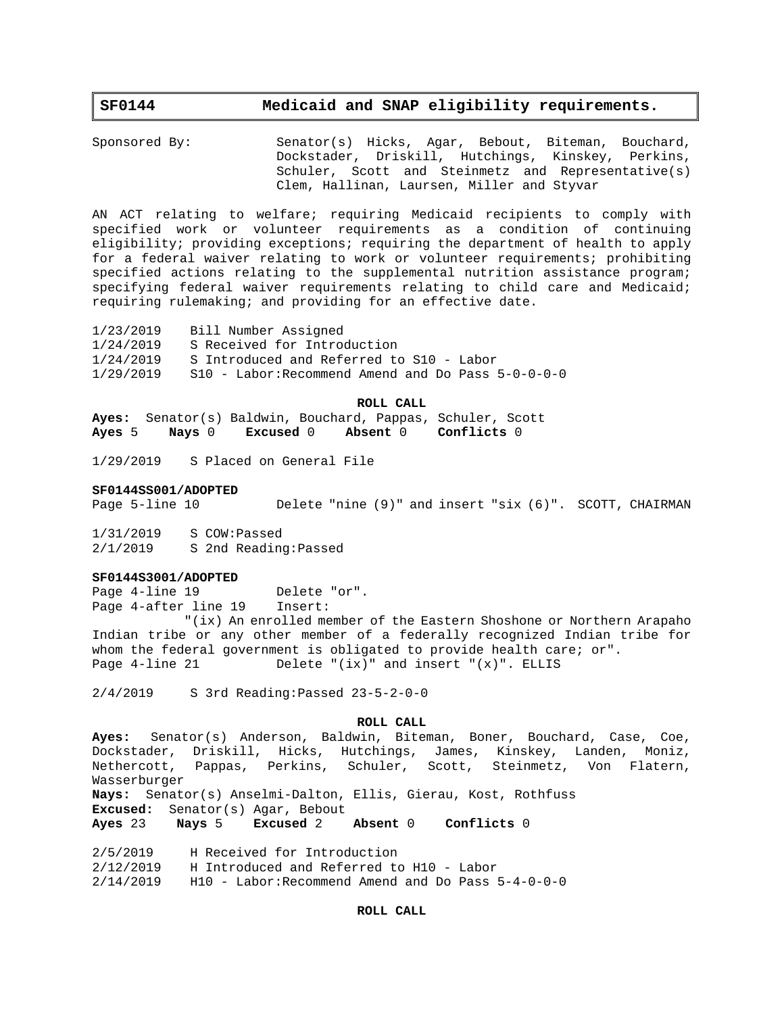# **SF0144 Medicaid and SNAP eligibility requirements.**

Sponsored By: Senator(s) Hicks, Agar, Bebout, Biteman, Bouchard, Dockstader, Driskill, Hutchings, Kinskey, Perkins, Schuler, Scott and Steinmetz and Representative(s) Clem, Hallinan, Laursen, Miller and Styvar

AN ACT relating to welfare; requiring Medicaid recipients to comply with specified work or volunteer requirements as a condition of continuing eligibility; providing exceptions; requiring the department of health to apply for a federal waiver relating to work or volunteer requirements; prohibiting specified actions relating to the supplemental nutrition assistance program; specifying federal waiver requirements relating to child care and Medicaid; requiring rulemaking; and providing for an effective date.

1/23/2019 Bill Number Assigned 1/24/2019 S Received for Introduction 1/24/2019 S Introduced and Referred to S10 - Labor  $1/29/2019$  S10 - Labor: Recommend Amend and Do Pass  $5-0-0-0-0$ 

#### **ROLL CALL**

**Ayes:** Senator(s) Baldwin, Bouchard, Pappas, Schuler, Scott **Ayes** 5 **Nays** 0 **Excused** 0 **Absent** 0 **Conflicts** 0

1/29/2019 S Placed on General File

### **SF0144SS001/ADOPTED**

Page 5-line 10 Delete "nine (9)" and insert "six (6)". SCOTT, CHAIRMAN

1/31/2019 S COW:Passed 2/1/2019 S 2nd Reading:Passed

### **SF0144S3001/ADOPTED**

Page 4-line 19 Delete "or". Page 4-after line 19 Insert:

"(ix) An enrolled member of the Eastern Shoshone or Northern Arapaho Indian tribe or any other member of a federally recognized Indian tribe for whom the federal government is obligated to provide health care; or". Page  $4$ -line  $21$  Delete "(ix)" and insert "(x)". ELLIS

2/4/2019 S 3rd Reading:Passed 23-5-2-0-0

#### **ROLL CALL**

**Ayes:** Senator(s) Anderson, Baldwin, Biteman, Boner, Bouchard, Case, Coe, Dockstader, Driskill, Hicks, Hutchings, James, Kinskey, Landen, Moniz, Nethercott, Pappas, Perkins, Schuler, Scott, Steinmetz, Von Flatern, Wasserburger **Nays:** Senator(s) Anselmi-Dalton, Ellis, Gierau, Kost, Rothfuss **Excused:** Senator(s) Agar, Bebout

**Ayes** 23 **Nays** 5 **Excused** 2 **Absent** 0 **Conflicts** 0

2/5/2019 H Received for Introduction

2/12/2019 H Introduced and Referred to H10 - Labor

 $2/14/2019$  H10 - Labor: Recommend Amend and Do Pass  $5-4-0-0-0$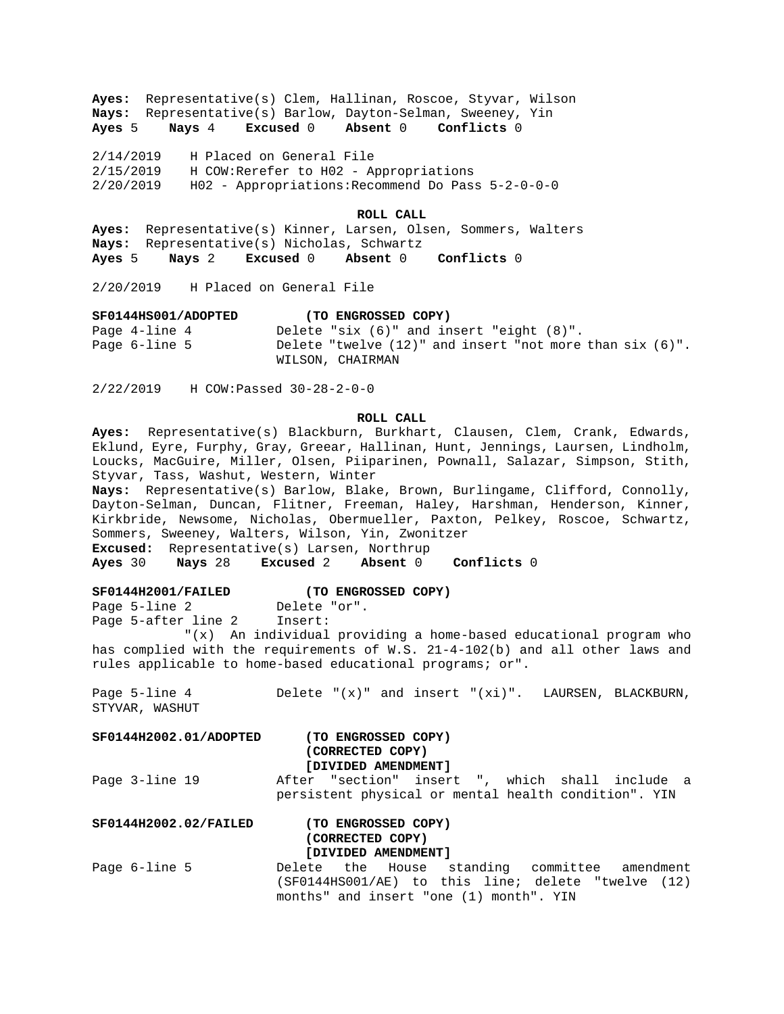**Ayes:** Representative(s) Clem, Hallinan, Roscoe, Styvar, Wilson Nays: Representative(s) Barlow, Dayton-Selman, Sweeney, Yin<br>Ayes 5 Nays 4 Excused 0 Absent 0 Conflicts 0 **Ayes** 5 **Nays** 4 **Excused** 0 **Absent** 0 **Conflicts** 0

2/14/2019 H Placed on General File 2/15/2019 H COW:Rerefer to H02 - Appropriations 2/20/2019 H02 - Appropriations:Recommend Do Pass 5-2-0-0-0

#### **ROLL CALL**

**Ayes:** Representative(s) Kinner, Larsen, Olsen, Sommers, Walters Nays: Representative(s) Nicholas, Schwartz<br>**Ayes** 5 Nays 2 Excused 0 Absent 0 **Ayes** 5 **Nays** 2 **Excused** 0 **Absent** 0 **Conflicts** 0

2/20/2019 H Placed on General File

#### **SF0144HS001/ADOPTED (TO ENGROSSED COPY)**

Page 4-line 4 Delete "six (6)" and insert "eight (8)". Page 6-line 5 Delete "twelve (12)" and insert "not more than six (6)". WILSON, CHAIRMAN

2/22/2019 H COW:Passed 30-28-2-0-0

## **ROLL CALL**

**Ayes:** Representative(s) Blackburn, Burkhart, Clausen, Clem, Crank, Edwards, Eklund, Eyre, Furphy, Gray, Greear, Hallinan, Hunt, Jennings, Laursen, Lindholm, Loucks, MacGuire, Miller, Olsen, Piiparinen, Pownall, Salazar, Simpson, Stith, Styvar, Tass, Washut, Western, Winter

**Nays:** Representative(s) Barlow, Blake, Brown, Burlingame, Clifford, Connolly, Dayton-Selman, Duncan, Flitner, Freeman, Haley, Harshman, Henderson, Kinner, Kirkbride, Newsome, Nicholas, Obermueller, Paxton, Pelkey, Roscoe, Schwartz, Sommers, Sweeney, Walters, Wilson, Yin, Zwonitzer

**Excused:** Representative(s) Larsen, Northrup

**Ayes** 30 **Nays** 28 **Excused** 2 **Absent** 0 **Conflicts** 0

### **SF0144H2001/FAILED (TO ENGROSSED COPY)**

Page 5-line 2 Delete "or".

Page 5-after line 2 Insert:

"(x) An individual providing a home-based educational program who has complied with the requirements of W.S. 21-4-102(b) and all other laws and rules applicable to home-based educational programs; or".

Page 5-line 4 Delete "(x)" and insert "(xi)". LAURSEN, BLACKBURN, STYVAR, WASHUT

# **SF0144H2002.01/ADOPTED (TO ENGROSSED COPY) (CORRECTED COPY) [DIVIDED AMENDMENT]**

Page 3-line 19 After "section" insert ", which shall include a persistent physical or mental health condition". YIN

# **SF0144H2002.02/FAILED (TO ENGROSSED COPY) (CORRECTED COPY) [DIVIDED AMENDMENT]**

Page 6-line 5 **Delete** the House standing committee amendment (SF0144HS001/AE) to this line; delete "twelve (12) months" and insert "one (1) month". YIN